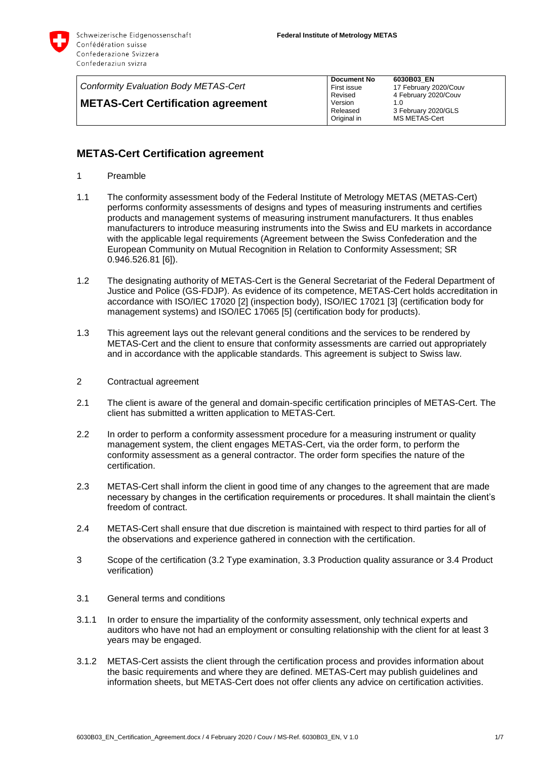

| Conformity Evaluation Body METAS-Cert     | <b>Document No</b><br>First issue | 6030B03 EN<br>17 February 2020/Couv  |
|-------------------------------------------|-----------------------------------|--------------------------------------|
| <b>METAS-Cert Certification agreement</b> | Revised<br>Version                | 4 February 2020/Couv<br>1.0          |
|                                           | Released<br>Original in           | 3 February 2020/GLS<br>MS METAS-Cert |

## **METAS-Cert Certification agreement**

- 1 Preamble
- 1.1 The conformity assessment body of the Federal Institute of Metrology METAS (METAS-Cert) performs conformity assessments of designs and types of measuring instruments and certifies products and management systems of measuring instrument manufacturers. It thus enables manufacturers to introduce measuring instruments into the Swiss and EU markets in accordance with the applicable legal requirements (Agreement between the Swiss Confederation and the European Community on Mutual Recognition in Relation to Conformity Assessment; SR 0.946.526.81 [\[6\]\)](#page-6-0).
- 1.2 The designating authority of METAS-Cert is the General Secretariat of the Federal Department of Justice and Police (GS-FDJP). As evidence of its competence, METAS-Cert holds accreditation in accordance with ISO/IEC 17020 [\[2\]](#page-6-1) (inspection body), ISO/IEC 17021 [\[3\]](#page-6-2) (certification body for management systems) and ISO/IEC 17065 [\[5\]](#page-6-3) (certification body for products).
- 1.3 This agreement lays out the relevant general conditions and the services to be rendered by METAS-Cert and the client to ensure that conformity assessments are carried out appropriately and in accordance with the applicable standards. This agreement is subject to Swiss law.
- 2 Contractual agreement
- 2.1 The client is aware of the general and domain-specific certification principles of METAS-Cert. The client has submitted a written application to METAS-Cert.
- 2.2 In order to perform a conformity assessment procedure for a measuring instrument or quality management system, the client engages METAS-Cert, via the order form, to perform the conformity assessment as a general contractor. The order form specifies the nature of the certification.
- 2.3 METAS-Cert shall inform the client in good time of any changes to the agreement that are made necessary by changes in the certification requirements or procedures. It shall maintain the client's freedom of contract.
- 2.4 METAS-Cert shall ensure that due discretion is maintained with respect to third parties for all of the observations and experience gathered in connection with the certification.
- 3 Scope of the certification [\(3.2](#page-1-0) Type examination, [3.3](#page-1-1) Production quality assurance or [3.4](#page-1-2) Product verification)
- 3.1 General terms and conditions
- 3.1.1 In order to ensure the impartiality of the conformity assessment, only technical experts and auditors who have not had an employment or consulting relationship with the client for at least 3 years may be engaged.
- 3.1.2 METAS-Cert assists the client through the certification process and provides information about the basic requirements and where they are defined. METAS-Cert may publish guidelines and information sheets, but METAS-Cert does not offer clients any advice on certification activities.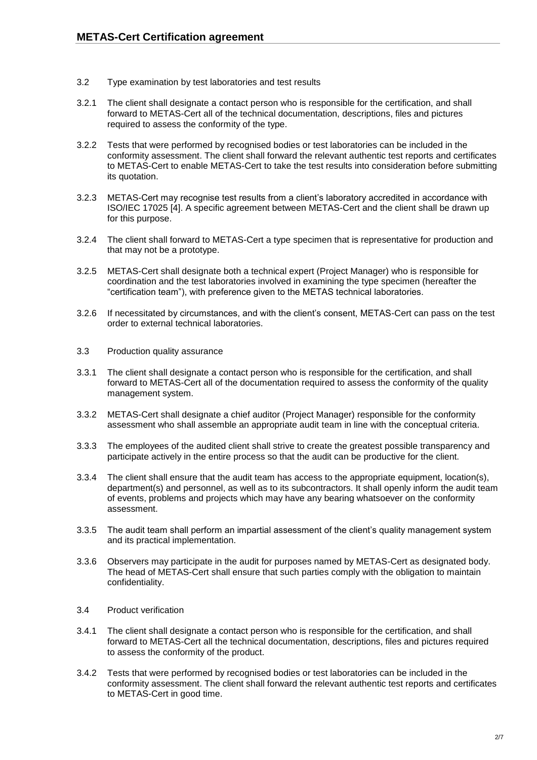- <span id="page-1-0"></span>3.2 Type examination by test laboratories and test results
- 3.2.1 The client shall designate a contact person who is responsible for the certification, and shall forward to METAS-Cert all of the technical documentation, descriptions, files and pictures required to assess the conformity of the type.
- 3.2.2 Tests that were performed by recognised bodies or test laboratories can be included in the conformity assessment. The client shall forward the relevant authentic test reports and certificates to METAS-Cert to enable METAS-Cert to take the test results into consideration before submitting its quotation.
- 3.2.3 METAS-Cert may recognise test results from a client's laboratory accredited in accordance with ISO/IEC 17025 [\[4\].](#page-6-4) A specific agreement between METAS-Cert and the client shall be drawn up for this purpose.
- 3.2.4 The client shall forward to METAS-Cert a type specimen that is representative for production and that may not be a prototype.
- 3.2.5 METAS-Cert shall designate both a technical expert (Project Manager) who is responsible for coordination and the test laboratories involved in examining the type specimen (hereafter the "certification team"), with preference given to the METAS technical laboratories.
- 3.2.6 If necessitated by circumstances, and with the client's consent, METAS-Cert can pass on the test order to external technical laboratories.
- <span id="page-1-1"></span>3.3 Production quality assurance
- 3.3.1 The client shall designate a contact person who is responsible for the certification, and shall forward to METAS-Cert all of the documentation required to assess the conformity of the quality management system.
- 3.3.2 METAS-Cert shall designate a chief auditor (Project Manager) responsible for the conformity assessment who shall assemble an appropriate audit team in line with the conceptual criteria.
- 3.3.3 The employees of the audited client shall strive to create the greatest possible transparency and participate actively in the entire process so that the audit can be productive for the client.
- 3.3.4 The client shall ensure that the audit team has access to the appropriate equipment, location(s), department(s) and personnel, as well as to its subcontractors. It shall openly inform the audit team of events, problems and projects which may have any bearing whatsoever on the conformity assessment.
- 3.3.5 The audit team shall perform an impartial assessment of the client's quality management system and its practical implementation.
- 3.3.6 Observers may participate in the audit for purposes named by METAS-Cert as designated body. The head of METAS-Cert shall ensure that such parties comply with the obligation to maintain confidentiality.
- <span id="page-1-2"></span>3.4 Product verification
- 3.4.1 The client shall designate a contact person who is responsible for the certification, and shall forward to METAS-Cert all the technical documentation, descriptions, files and pictures required to assess the conformity of the product.
- 3.4.2 Tests that were performed by recognised bodies or test laboratories can be included in the conformity assessment. The client shall forward the relevant authentic test reports and certificates to METAS-Cert in good time.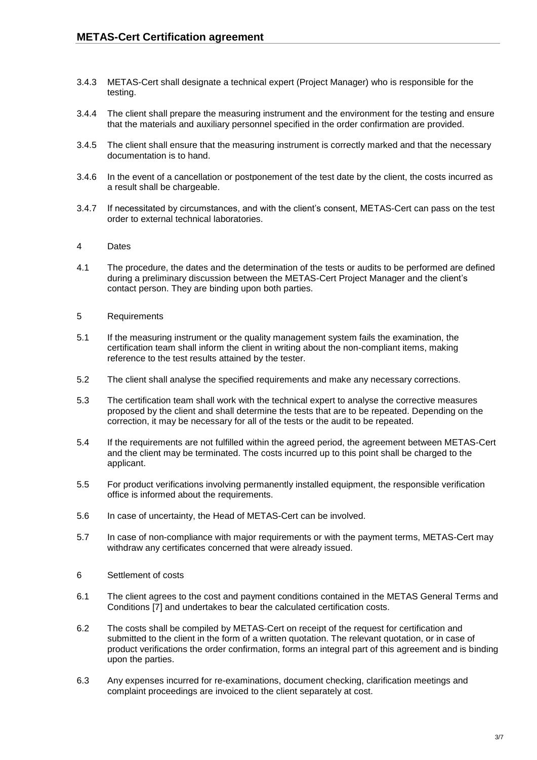- 3.4.3 METAS-Cert shall designate a technical expert (Project Manager) who is responsible for the testing.
- 3.4.4 The client shall prepare the measuring instrument and the environment for the testing and ensure that the materials and auxiliary personnel specified in the order confirmation are provided.
- 3.4.5 The client shall ensure that the measuring instrument is correctly marked and that the necessary documentation is to hand.
- 3.4.6 In the event of a cancellation or postponement of the test date by the client, the costs incurred as a result shall be chargeable.
- 3.4.7 If necessitated by circumstances, and with the client's consent, METAS-Cert can pass on the test order to external technical laboratories.

## 4 Dates

- 4.1 The procedure, the dates and the determination of the tests or audits to be performed are defined during a preliminary discussion between the METAS-Cert Project Manager and the client's contact person. They are binding upon both parties.
- 5 Requirements
- 5.1 If the measuring instrument or the quality management system fails the examination, the certification team shall inform the client in writing about the non-compliant items, making reference to the test results attained by the tester.
- 5.2 The client shall analyse the specified requirements and make any necessary corrections.
- 5.3 The certification team shall work with the technical expert to analyse the corrective measures proposed by the client and shall determine the tests that are to be repeated. Depending on the correction, it may be necessary for all of the tests or the audit to be repeated.
- 5.4 If the requirements are not fulfilled within the agreed period, the agreement between METAS-Cert and the client may be terminated. The costs incurred up to this point shall be charged to the applicant.
- 5.5 For product verifications involving permanently installed equipment, the responsible verification office is informed about the requirements.
- 5.6 In case of uncertainty, the Head of METAS-Cert can be involved.
- 5.7 In case of non-compliance with major requirements or with the payment terms, METAS-Cert may withdraw any certificates concerned that were already issued.
- 6 Settlement of costs
- 6.1 The client agrees to the cost and payment conditions contained in the METAS General Terms and Conditions [\[7\]](#page-6-5) and undertakes to bear the calculated certification costs.
- 6.2 The costs shall be compiled by METAS-Cert on receipt of the request for certification and submitted to the client in the form of a written quotation. The relevant quotation, or in case of product verifications the order confirmation, forms an integral part of this agreement and is binding upon the parties.
- 6.3 Any expenses incurred for re-examinations, document checking, clarification meetings and complaint proceedings are invoiced to the client separately at cost.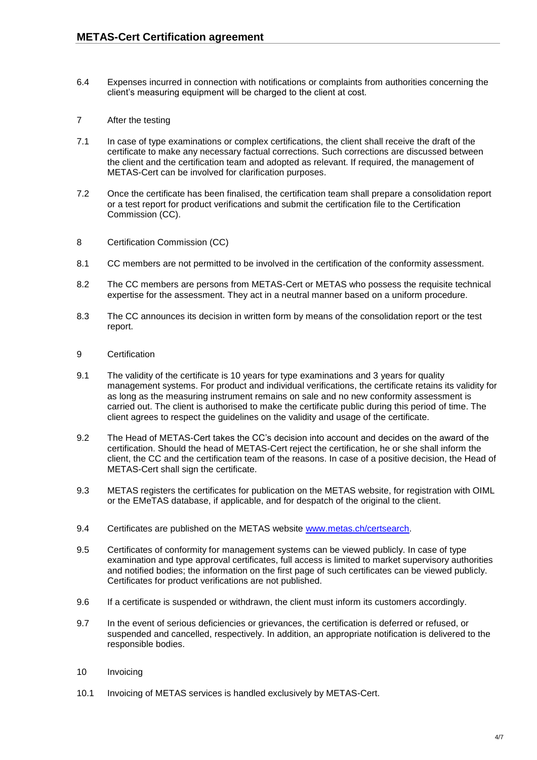- 6.4 Expenses incurred in connection with notifications or complaints from authorities concerning the client's measuring equipment will be charged to the client at cost.
- 7 After the testing
- 7.1 In case of type examinations or complex certifications, the client shall receive the draft of the certificate to make any necessary factual corrections. Such corrections are discussed between the client and the certification team and adopted as relevant. If required, the management of METAS-Cert can be involved for clarification purposes.
- 7.2 Once the certificate has been finalised, the certification team shall prepare a consolidation report or a test report for product verifications and submit the certification file to the Certification Commission (CC).
- 8 Certification Commission (CC)
- 8.1 CC members are not permitted to be involved in the certification of the conformity assessment.
- 8.2 The CC members are persons from METAS-Cert or METAS who possess the requisite technical expertise for the assessment. They act in a neutral manner based on a uniform procedure.
- 8.3 The CC announces its decision in written form by means of the consolidation report or the test report.
- 9 Certification
- 9.1 The validity of the certificate is 10 years for type examinations and 3 years for quality management systems. For product and individual verifications, the certificate retains its validity for as long as the measuring instrument remains on sale and no new conformity assessment is carried out. The client is authorised to make the certificate public during this period of time. The client agrees to respect the guidelines on the validity and usage of the certificate.
- 9.2 The Head of METAS-Cert takes the CC's decision into account and decides on the award of the certification. Should the head of METAS-Cert reject the certification, he or she shall inform the client, the CC and the certification team of the reasons. In case of a positive decision, the Head of METAS-Cert shall sign the certificate.
- 9.3 METAS registers the certificates for publication on the METAS website, for registration with OIML or the EMeTAS database, if applicable, and for despatch of the original to the client.
- 9.4 Certificates are published on the METAS website [www.metas.ch/certsearch.](http://www.metas.ch/certsearch)
- 9.5 Certificates of conformity for management systems can be viewed publicly. In case of type examination and type approval certificates, full access is limited to market supervisory authorities and notified bodies; the information on the first page of such certificates can be viewed publicly. Certificates for product verifications are not published.
- 9.6 If a certificate is suspended or withdrawn, the client must inform its customers accordingly.
- 9.7 In the event of serious deficiencies or grievances, the certification is deferred or refused, or suspended and cancelled, respectively. In addition, an appropriate notification is delivered to the responsible bodies.
- 10 Invoicing
- 10.1 Invoicing of METAS services is handled exclusively by METAS-Cert.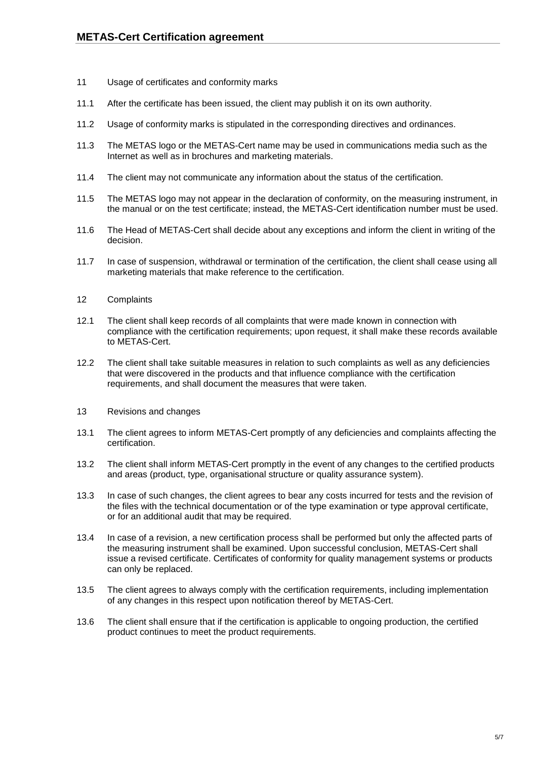- 11 Usage of certificates and conformity marks
- 11.1 After the certificate has been issued, the client may publish it on its own authority.
- 11.2 Usage of conformity marks is stipulated in the corresponding directives and ordinances.
- 11.3 The METAS logo or the METAS-Cert name may be used in communications media such as the Internet as well as in brochures and marketing materials.
- 11.4 The client may not communicate any information about the status of the certification.
- 11.5 The METAS logo may not appear in the declaration of conformity, on the measuring instrument, in the manual or on the test certificate; instead, the METAS-Cert identification number must be used.
- 11.6 The Head of METAS-Cert shall decide about any exceptions and inform the client in writing of the decision.
- 11.7 In case of suspension, withdrawal or termination of the certification, the client shall cease using all marketing materials that make reference to the certification.
- 12 Complaints
- 12.1 The client shall keep records of all complaints that were made known in connection with compliance with the certification requirements; upon request, it shall make these records available to METAS-Cert.
- 12.2 The client shall take suitable measures in relation to such complaints as well as any deficiencies that were discovered in the products and that influence compliance with the certification requirements, and shall document the measures that were taken.
- 13 Revisions and changes
- 13.1 The client agrees to inform METAS-Cert promptly of any deficiencies and complaints affecting the certification.
- 13.2 The client shall inform METAS-Cert promptly in the event of any changes to the certified products and areas (product, type, organisational structure or quality assurance system).
- 13.3 In case of such changes, the client agrees to bear any costs incurred for tests and the revision of the files with the technical documentation or of the type examination or type approval certificate, or for an additional audit that may be required.
- 13.4 In case of a revision, a new certification process shall be performed but only the affected parts of the measuring instrument shall be examined. Upon successful conclusion, METAS-Cert shall issue a revised certificate. Certificates of conformity for quality management systems or products can only be replaced.
- 13.5 The client agrees to always comply with the certification requirements, including implementation of any changes in this respect upon notification thereof by METAS-Cert.
- 13.6 The client shall ensure that if the certification is applicable to ongoing production, the certified product continues to meet the product requirements.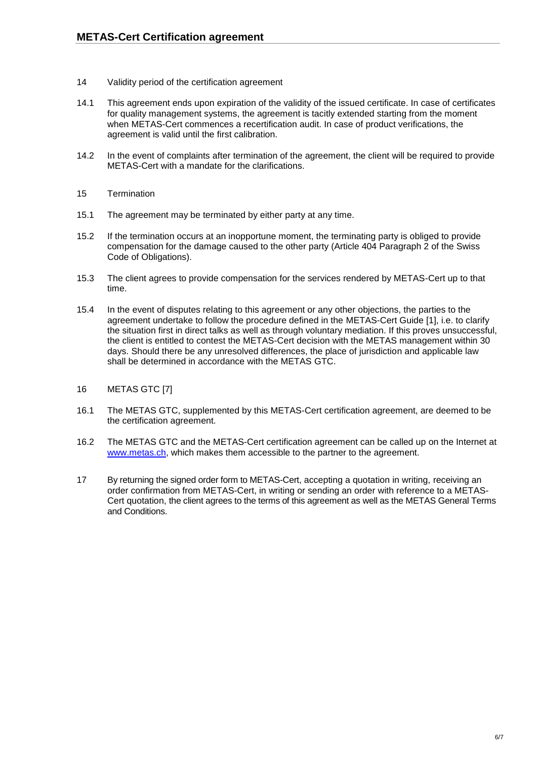- 14 Validity period of the certification agreement
- 14.1 This agreement ends upon expiration of the validity of the issued certificate. In case of certificates for quality management systems, the agreement is tacitly extended starting from the moment when METAS-Cert commences a recertification audit. In case of product verifications, the agreement is valid until the first calibration.
- 14.2 In the event of complaints after termination of the agreement, the client will be required to provide METAS-Cert with a mandate for the clarifications.
- 15 Termination
- 15.1 The agreement may be terminated by either party at any time.
- 15.2 If the termination occurs at an inopportune moment, the terminating party is obliged to provide compensation for the damage caused to the other party (Article 404 Paragraph 2 of the Swiss Code of Obligations).
- 15.3 The client agrees to provide compensation for the services rendered by METAS-Cert up to that time.
- 15.4 In the event of disputes relating to this agreement or any other objections, the parties to the agreement undertake to follow the procedure defined in the METAS-Cert Guide [\[1\],](#page-6-6) i.e. to clarify the situation first in direct talks as well as through voluntary mediation. If this proves unsuccessful, the client is entitled to contest the METAS-Cert decision with the METAS management within 30 days. Should there be any unresolved differences, the place of jurisdiction and applicable law shall be determined in accordance with the METAS GTC.
- 16 METAS GTC [\[7\]](#page-6-5)
- 16.1 The METAS GTC, supplemented by this METAS-Cert certification agreement, are deemed to be the certification agreement.
- 16.2 The METAS GTC and the METAS-Cert certification agreement can be called up on the Internet at [www.metas.ch,](http://www.metas.ch/) which makes them accessible to the partner to the agreement.
- 17 By returning the signed order form to METAS-Cert, accepting a quotation in writing, receiving an order confirmation from METAS-Cert, in writing or sending an order with reference to a METAS-Cert quotation, the client agrees to the terms of this agreement as well as the METAS General Terms and Conditions.